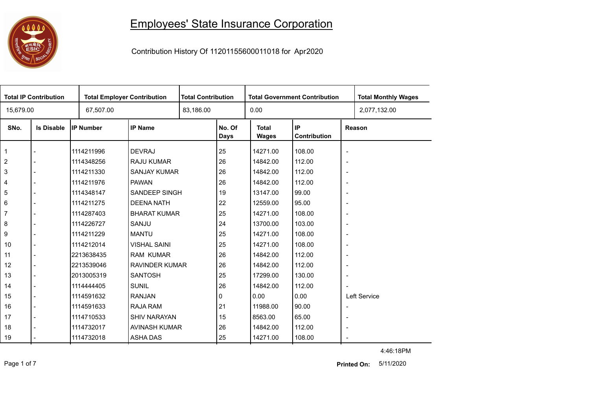## 

## Employees' State Insurance Corporation

Contribution History Of 11201155600011018 for Apr2020

| <b>Total IP Contribution</b> |                   | <b>Total Employer Contribution</b> |                       |  | <b>Total Contribution</b><br><b>Total Government Contribution</b> |                              |                    |                          | <b>Total Monthly Wages</b> |
|------------------------------|-------------------|------------------------------------|-----------------------|--|-------------------------------------------------------------------|------------------------------|--------------------|--------------------------|----------------------------|
| 15,679.00                    |                   | 67,507.00                          |                       |  |                                                                   | 0.00                         |                    |                          | 2,077,132.00               |
| SNo.                         | <b>Is Disable</b> | <b>IP Number</b>                   | <b>IP Name</b>        |  | No. Of<br><b>Days</b>                                             | <b>Total</b><br><b>Wages</b> | IP<br>Contribution |                          | Reason                     |
| $\mathbf{1}$                 |                   | 1114211996                         | <b>DEVRAJ</b>         |  | 25                                                                | 14271.00                     | 108.00             | $\overline{\phantom{a}}$ |                            |
| $\overline{2}$               |                   | 1114348256                         | <b>RAJU KUMAR</b>     |  | 26                                                                | 14842.00                     | 112.00             | $\blacksquare$           |                            |
| $\mathsf 3$                  |                   | 1114211330                         | SANJAY KUMAR          |  | 26                                                                | 14842.00                     | 112.00             | $\overline{\phantom{a}}$ |                            |
| 4                            |                   | 1114211976                         | <b>PAWAN</b>          |  | 26                                                                | 14842.00                     | 112.00             | $\overline{\phantom{a}}$ |                            |
| 5                            |                   | 1114348147                         | <b>SANDEEP SINGH</b>  |  | 19                                                                | 13147.00                     | 99.00              | $\overline{\phantom{a}}$ |                            |
| 6                            |                   | 1114211275                         | <b>DEENA NATH</b>     |  | 22                                                                | 12559.00                     | 95.00              | $\overline{\phantom{a}}$ |                            |
| $\overline{7}$               |                   | 1114287403                         | <b>BHARAT KUMAR</b>   |  | 25                                                                | 14271.00                     | 108.00             | $\overline{\phantom{a}}$ |                            |
| 8                            |                   | 1114226727                         | SANJU                 |  | 24                                                                | 13700.00                     | 103.00             | $\overline{\phantom{a}}$ |                            |
| 9                            |                   | 1114211229                         | <b>MANTU</b>          |  | 25                                                                | 14271.00                     | 108.00             | $\overline{\phantom{a}}$ |                            |
| 10                           |                   | 1114212014                         | <b>VISHAL SAINI</b>   |  | 25                                                                | 14271.00                     | 108.00             | $\overline{\phantom{a}}$ |                            |
| 11                           |                   | 2213638435                         | <b>RAM KUMAR</b>      |  | 26                                                                | 14842.00                     | 112.00             | $\overline{\phantom{a}}$ |                            |
| 12                           |                   | 2213539046                         | <b>RAVINDER KUMAR</b> |  | 26                                                                | 14842.00                     | 112.00             | $\overline{\phantom{a}}$ |                            |
| 13                           |                   | 2013005319                         | <b>SANTOSH</b>        |  | 25                                                                | 17299.00                     | 130.00             | $\overline{\phantom{a}}$ |                            |
| 14                           |                   | 1114444405                         | <b>SUNIL</b>          |  | 26                                                                | 14842.00                     | 112.00             |                          |                            |
| 15                           |                   | 1114591632                         | <b>RANJAN</b>         |  | 0                                                                 | 0.00                         | 0.00               |                          | Left Service               |
| 16                           |                   | 1114591633                         | RAJA RAM              |  | 21                                                                | 11988.00                     | 90.00              | $\overline{\phantom{a}}$ |                            |
| 17                           |                   | 1114710533                         | <b>SHIV NARAYAN</b>   |  | 15                                                                | 8563.00                      | 65.00              | $\overline{\phantom{a}}$ |                            |
| 18                           |                   | 1114732017                         | AVINASH KUMAR         |  | 26                                                                | 14842.00                     | 112.00             | $\overline{\phantom{a}}$ |                            |
| 19                           |                   | 1114732018                         | <b>ASHA DAS</b>       |  | 25                                                                | 14271.00                     | 108.00             | $\overline{\phantom{a}}$ |                            |

4:46:18PM

Page 1 of 7 5/11/2020 **Printed On:**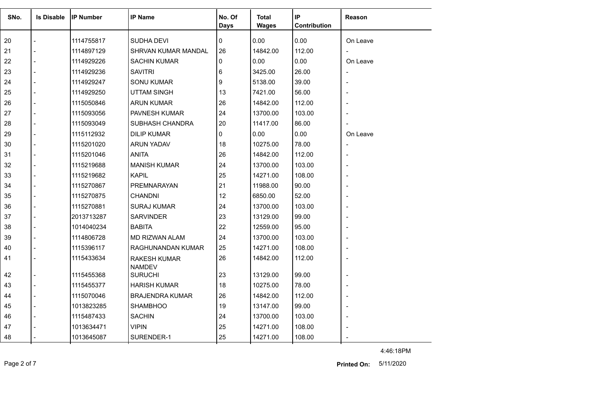| SNo. | <b>Is Disable</b> | <b>IP Number</b> | <b>IP Name</b>                       | No. Of<br><b>Days</b> | <b>Total</b><br><b>Wages</b> | IP<br>Contribution | Reason   |
|------|-------------------|------------------|--------------------------------------|-----------------------|------------------------------|--------------------|----------|
| 20   |                   | 1114755817       | <b>SUDHA DEVI</b>                    | 0                     | 0.00                         | 0.00               | On Leave |
| 21   | $\overline{a}$    | 1114897129       | SHRVAN KUMAR MANDAL                  | 26                    | 14842.00                     | 112.00             |          |
| 22   | $\overline{a}$    | 1114929226       | <b>SACHIN KUMAR</b>                  | $\Omega$              | 0.00                         | 0.00               | On Leave |
| 23   |                   | 1114929236       | <b>SAVITRI</b>                       | 6                     | 3425.00                      | 26.00              |          |
| 24   |                   | 1114929247       | <b>SONU KUMAR</b>                    | 9                     | 5138.00                      | 39.00              |          |
| 25   |                   | 1114929250       | <b>UTTAM SINGH</b>                   | 13                    | 7421.00                      | 56.00              |          |
| 26   | $\overline{a}$    | 1115050846       | <b>ARUN KUMAR</b>                    | 26                    | 14842.00                     | 112.00             |          |
| 27   |                   | 1115093056       | <b>PAVNESH KUMAR</b>                 | 24                    | 13700.00                     | 103.00             |          |
| 28   | $\overline{a}$    | 1115093049       | SUBHASH CHANDRA                      | 20                    | 11417.00                     | 86.00              |          |
| 29   | $\overline{a}$    | 1115112932       | <b>DILIP KUMAR</b>                   | 0                     | 0.00                         | 0.00               | On Leave |
| 30   |                   | 1115201020       | <b>ARUN YADAV</b>                    | 18                    | 10275.00                     | 78.00              |          |
| 31   |                   | 1115201046       | <b>ANITA</b>                         | 26                    | 14842.00                     | 112.00             |          |
| 32   |                   | 1115219688       | <b>MANISH KUMAR</b>                  | 24                    | 13700.00                     | 103.00             |          |
| 33   |                   | 1115219682       | <b>KAPIL</b>                         | 25                    | 14271.00                     | 108.00             |          |
| 34   |                   | 1115270867       | PREMNARAYAN                          | 21                    | 11988.00                     | 90.00              |          |
| 35   | $\overline{a}$    | 1115270875       | <b>CHANDNI</b>                       | 12                    | 6850.00                      | 52.00              |          |
| 36   |                   | 1115270881       | <b>SURAJ KUMAR</b>                   | 24                    | 13700.00                     | 103.00             |          |
| 37   |                   | 2013713287       | <b>SARVINDER</b>                     | 23                    | 13129.00                     | 99.00              |          |
| 38   |                   | 1014040234       | <b>BABITA</b>                        | 22                    | 12559.00                     | 95.00              |          |
| 39   |                   | 1114806728       | <b>MD RIZWAN ALAM</b>                | 24                    | 13700.00                     | 103.00             |          |
| 40   |                   | 1115396117       | RAGHUNANDAN KUMAR                    | 25                    | 14271.00                     | 108.00             |          |
| 41   |                   | 1115433634       | <b>RAKESH KUMAR</b><br><b>NAMDEV</b> | 26                    | 14842.00                     | 112.00             |          |
| 42   |                   | 1115455368       | <b>SURUCHI</b>                       | 23                    | 13129.00                     | 99.00              |          |
| 43   |                   | 1115455377       | <b>HARISH KUMAR</b>                  | 18                    | 10275.00                     | 78.00              |          |
| 44   | $\blacksquare$    | 1115070046       | <b>BRAJENDRA KUMAR</b>               | 26                    | 14842.00                     | 112.00             |          |
| 45   |                   | 1013823285       | <b>SHAMBHOO</b>                      | 19                    | 13147.00                     | 99.00              |          |
| 46   |                   | 1115487433       | <b>SACHIN</b>                        | 24                    | 13700.00                     | 103.00             |          |
| 47   |                   | 1013634471       | <b>VIPIN</b>                         | 25                    | 14271.00                     | 108.00             |          |
| 48   |                   | 1013645087       | SURENDER-1                           | 25                    | 14271.00                     | 108.00             |          |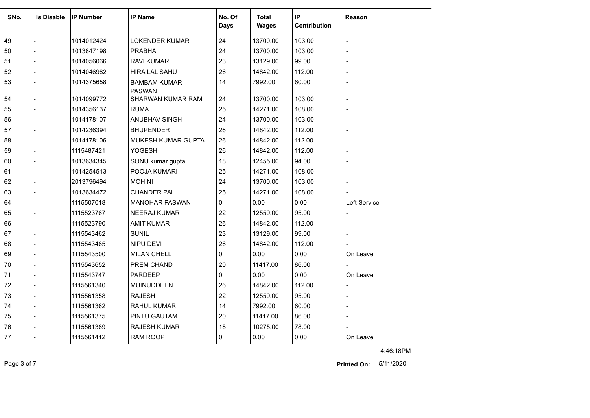| SNo. | <b>Is Disable</b> | <b>IP Number</b> | <b>IP Name</b>                       | No. Of      | <b>Total</b> | IP           | <b>Reason</b>            |
|------|-------------------|------------------|--------------------------------------|-------------|--------------|--------------|--------------------------|
|      |                   |                  |                                      | <b>Days</b> | <b>Wages</b> | Contribution |                          |
| 49   |                   | 1014012424       | <b>LOKENDER KUMAR</b>                | 24          | 13700.00     | 103.00       | $\overline{\phantom{a}}$ |
| 50   |                   | 1013847198       | <b>PRABHA</b>                        | 24          | 13700.00     | 103.00       |                          |
| 51   |                   | 1014056066       | <b>RAVI KUMAR</b>                    | 23          | 13129.00     | 99.00        |                          |
| 52   |                   | 1014046982       | <b>HIRA LAL SAHU</b>                 | 26          | 14842.00     | 112.00       |                          |
| 53   |                   | 1014375658       | <b>BAMBAM KUMAR</b><br><b>PASWAN</b> | 14          | 7992.00      | 60.00        |                          |
| 54   |                   | 1014099772       | SHARWAN KUMAR RAM                    | 24          | 13700.00     | 103.00       |                          |
| 55   |                   | 1014356137       | <b>RUMA</b>                          | 25          | 14271.00     | 108.00       |                          |
| 56   |                   | 1014178107       | ANUBHAV SINGH                        | 24          | 13700.00     | 103.00       |                          |
| 57   |                   | 1014236394       | <b>BHUPENDER</b>                     | 26          | 14842.00     | 112.00       |                          |
| 58   |                   | 1014178106       | MUKESH KUMAR GUPTA                   | 26          | 14842.00     | 112.00       |                          |
| 59   |                   | 1115487421       | <b>YOGESH</b>                        | 26          | 14842.00     | 112.00       |                          |
| 60   |                   | 1013634345       | SONU kumar gupta                     | 18          | 12455.00     | 94.00        |                          |
| 61   |                   | 1014254513       | POOJA KUMARI                         | 25          | 14271.00     | 108.00       |                          |
| 62   |                   | 2013796494       | <b>MOHINI</b>                        | 24          | 13700.00     | 103.00       |                          |
| 63   |                   | 1013634472       | <b>CHANDER PAL</b>                   | 25          | 14271.00     | 108.00       |                          |
| 64   |                   | 1115507018       | <b>MANOHAR PASWAN</b>                | $\Omega$    | 0.00         | 0.00         | Left Service             |
| 65   |                   | 1115523767       | <b>NEERAJ KUMAR</b>                  | 22          | 12559.00     | 95.00        | $\overline{\phantom{a}}$ |
| 66   |                   | 1115523790       | <b>AMIT KUMAR</b>                    | 26          | 14842.00     | 112.00       |                          |
| 67   |                   | 1115543462       | <b>SUNIL</b>                         | 23          | 13129.00     | 99.00        |                          |
| 68   |                   | 1115543485       | <b>NIPU DEVI</b>                     | 26          | 14842.00     | 112.00       |                          |
| 69   |                   | 1115543500       | <b>MILAN CHELL</b>                   | 0           | 0.00         | 0.00         | On Leave                 |
| 70   |                   | 1115543652       | <b>PREM CHAND</b>                    | 20          | 11417.00     | 86.00        |                          |
| 71   |                   | 1115543747       | <b>PARDEEP</b>                       | 0           | 0.00         | 0.00         | On Leave                 |
| 72   |                   | 1115561340       | <b>MUINUDDEEN</b>                    | 26          | 14842.00     | 112.00       | $\overline{\phantom{a}}$ |
| 73   |                   | 1115561358       | <b>RAJESH</b>                        | 22          | 12559.00     | 95.00        |                          |
| 74   |                   | 1115561362       | <b>RAHUL KUMAR</b>                   | 14          | 7992.00      | 60.00        |                          |
| 75   |                   | 1115561375       | PINTU GAUTAM                         | 20          | 11417.00     | 86.00        |                          |
| 76   |                   | 1115561389       | <b>RAJESH KUMAR</b>                  | 18          | 10275.00     | 78.00        |                          |
| 77   |                   | 1115561412       | RAM ROOP                             | 0           | 0.00         | 0.00         | On Leave                 |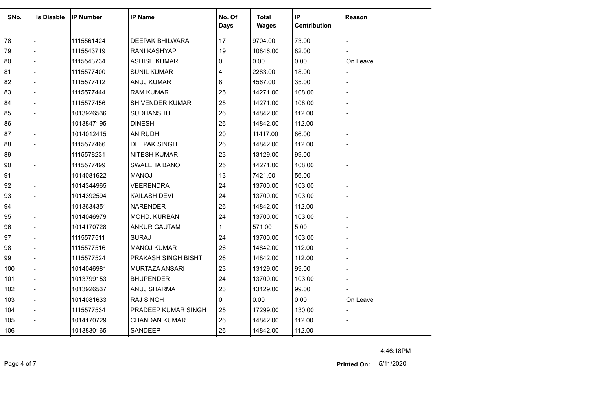| SNo. | <b>Is Disable</b> | IIP Number | <b>IP Name</b>         | No. Of<br><b>Days</b> | Total<br><b>Wages</b> | IP<br>Contribution | Reason   |
|------|-------------------|------------|------------------------|-----------------------|-----------------------|--------------------|----------|
| 78   |                   | 1115561424 | <b>DEEPAK BHILWARA</b> | 17                    | 9704.00               | 73.00              |          |
| 79   |                   | 1115543719 | <b>RANI KASHYAP</b>    | 19                    | 10846.00              | 82.00              |          |
| 80   |                   | 1115543734 | <b>ASHISH KUMAR</b>    | 0                     | 0.00                  | 0.00               | On Leave |
| 81   |                   | 1115577400 | <b>SUNIL KUMAR</b>     | 4                     | 2283.00               | 18.00              |          |
| 82   |                   | 1115577412 | <b>ANUJ KUMAR</b>      | 8                     | 4567.00               | 35.00              |          |
| 83   |                   | 1115577444 | <b>RAM KUMAR</b>       | 25                    | 14271.00              | 108.00             |          |
| 84   |                   | 1115577456 | SHIVENDER KUMAR        | 25                    | 14271.00              | 108.00             |          |
| 85   |                   | 1013926536 | SUDHANSHU              | 26                    | 14842.00              | 112.00             |          |
| 86   |                   | 1013847195 | <b>DINESH</b>          | 26                    | 14842.00              | 112.00             |          |
| 87   |                   | 1014012415 | <b>ANIRUDH</b>         | 20                    | 11417.00              | 86.00              |          |
| 88   |                   | 1115577466 | <b>DEEPAK SINGH</b>    | 26                    | 14842.00              | 112.00             |          |
| 89   |                   | 1115578231 | <b>NITESH KUMAR</b>    | 23                    | 13129.00              | 99.00              |          |
| 90   |                   | 1115577499 | SWALEHA BANO           | 25                    | 14271.00              | 108.00             |          |
| 91   |                   | 1014081622 | <b>MANOJ</b>           | 13                    | 7421.00               | 56.00              |          |
| 92   |                   | 1014344965 | <b>VEERENDRA</b>       | 24                    | 13700.00              | 103.00             |          |
| 93   |                   | 1014392594 | <b>KAILASH DEVI</b>    | 24                    | 13700.00              | 103.00             |          |
| 94   |                   | 1013634351 | <b>NARENDER</b>        | 26                    | 14842.00              | 112.00             |          |
| 95   |                   | 1014046979 | MOHD. KURBAN           | 24                    | 13700.00              | 103.00             |          |
| 96   |                   | 1014170728 | ANKUR GAUTAM           | 1                     | 571.00                | 5.00               |          |
| 97   |                   | 1115577511 | <b>SURAJ</b>           | 24                    | 13700.00              | 103.00             |          |
| 98   |                   | 1115577516 | <b>MANOJ KUMAR</b>     | 26                    | 14842.00              | 112.00             |          |
| 99   |                   | 1115577524 | PRAKASH SINGH BISHT    | 26                    | 14842.00              | 112.00             |          |
| 100  |                   | 1014046981 | <b>MURTAZA ANSARI</b>  | 23                    | 13129.00              | 99.00              |          |
| 101  |                   | 1013799153 | <b>BHUPENDER</b>       | 24                    | 13700.00              | 103.00             |          |
| 102  |                   | 1013926537 | ANUJ SHARMA            | 23                    | 13129.00              | 99.00              |          |
| 103  |                   | 1014081633 | RAJ SINGH              | 0                     | 0.00                  | 0.00               | On Leave |
| 104  |                   | 1115577534 | PRADEEP KUMAR SINGH    | 25                    | 17299.00              | 130.00             |          |
| 105  |                   | 1014170729 | <b>CHANDAN KUMAR</b>   | 26                    | 14842.00              | 112.00             |          |
| 106  |                   | 1013830165 | SANDEEP                | 26                    | 14842.00              | 112.00             |          |

Page 4 of 7 5/11/2020 **Printed On:**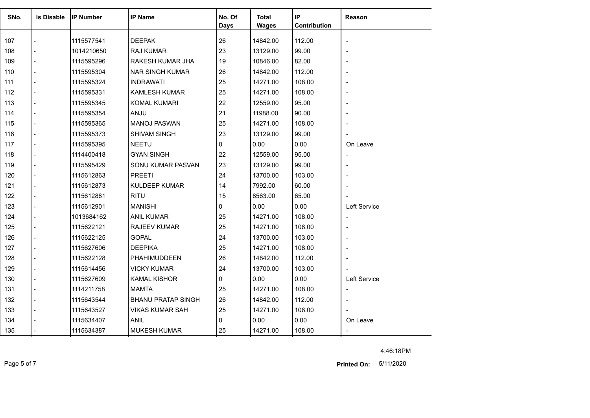| SNo. | <b>Is Disable</b>        | <b>IP Number</b> | <b>IP Name</b>            | No. Of      | <b>Total</b> | ∣ IP            | Reason                   |
|------|--------------------------|------------------|---------------------------|-------------|--------------|-----------------|--------------------------|
|      |                          |                  |                           | <b>Days</b> | <b>Wages</b> | Contribution    |                          |
|      |                          |                  |                           | 26          |              |                 |                          |
| 107  |                          | 1115577541       | <b>DEEPAK</b>             | 23          | 14842.00     | 112.00<br>99.00 |                          |
| 108  |                          | 1014210650       | <b>RAJ KUMAR</b>          |             | 13129.00     |                 |                          |
| 109  |                          | 1115595296       | RAKESH KUMAR JHA          | 19          | 10846.00     | 82.00           |                          |
| 110  | $\blacksquare$           | 1115595304       | <b>NAR SINGH KUMAR</b>    | 26          | 14842.00     | 112.00          |                          |
| 111  | $\sim$                   | 1115595324       | <b>INDRAWATI</b>          | 25          | 14271.00     | 108.00          |                          |
| 112  |                          | 1115595331       | <b>KAMLESH KUMAR</b>      | 25          | 14271.00     | 108.00          |                          |
| 113  | $\blacksquare$           | 1115595345       | <b>KOMAL KUMARI</b>       | 22          | 12559.00     | 95.00           |                          |
| 114  | $\blacksquare$           | 1115595354       | ANJU                      | 21          | 11988.00     | 90.00           |                          |
| 115  |                          | 1115595365       | <b>MANOJ PASWAN</b>       | 25          | 14271.00     | 108.00          |                          |
| 116  | $\overline{\phantom{a}}$ | 1115595373       | <b>SHIVAM SINGH</b>       | 23          | 13129.00     | 99.00           |                          |
| 117  |                          | 1115595395       | <b>NEETU</b>              | 0           | 0.00         | 0.00            | On Leave                 |
| 118  | $\sim$                   | 1114400418       | <b>GYAN SINGH</b>         | 22          | 12559.00     | 95.00           |                          |
| 119  | $\overline{\phantom{a}}$ | 1115595429       | SONU KUMAR PASVAN         | 23          | 13129.00     | 99.00           |                          |
| 120  |                          | 1115612863       | <b>PREETI</b>             | 24          | 13700.00     | 103.00          |                          |
| 121  |                          | 1115612873       | <b>KULDEEP KUMAR</b>      | 14          | 7992.00      | 60.00           |                          |
| 122  | $\overline{\phantom{a}}$ | 1115612881       | <b>RITU</b>               | 15          | 8563.00      | 65.00           |                          |
| 123  |                          | 1115612901       | <b>MANISHI</b>            | 0           | 0.00         | 0.00            | Left Service             |
| 124  |                          | 1013684162       | <b>ANIL KUMAR</b>         | 25          | 14271.00     | 108.00          |                          |
| 125  | $\overline{\phantom{a}}$ | 1115622121       | <b>RAJEEV KUMAR</b>       | 25          | 14271.00     | 108.00          |                          |
| 126  |                          | 1115622125       | <b>GOPAL</b>              | 24          | 13700.00     | 103.00          |                          |
| 127  | $\blacksquare$           | 1115627606       | <b>DEEPIKA</b>            | 25          | 14271.00     | 108.00          |                          |
| 128  |                          | 1115622128       | <b>PHAHIMUDDEEN</b>       | 26          | 14842.00     | 112.00          |                          |
| 129  | $\blacksquare$           | 1115614456       | <b>VICKY KUMAR</b>        | 24          | 13700.00     | 103.00          |                          |
| 130  | $\blacksquare$           | 1115627609       | <b>KAMAL KISHOR</b>       | 0           | 0.00         | 0.00            | Left Service             |
| 131  |                          | 1114211758       | MAMTA                     | 25          | 14271.00     | 108.00          | $\overline{\phantom{m}}$ |
| 132  | $\blacksquare$           | 1115643544       | <b>BHANU PRATAP SINGH</b> | 26          | 14842.00     | 112.00          |                          |
| 133  | $\blacksquare$           | 1115643527       | <b>VIKAS KUMAR SAH</b>    | 25          | 14271.00     | 108.00          |                          |
| 134  |                          | 1115634407       | <b>ANIL</b>               | 0           | 0.00         | 0.00            | On Leave                 |
| 135  |                          | 1115634387       | <b>MUKESH KUMAR</b>       | 25          | 14271.00     | 108.00          |                          |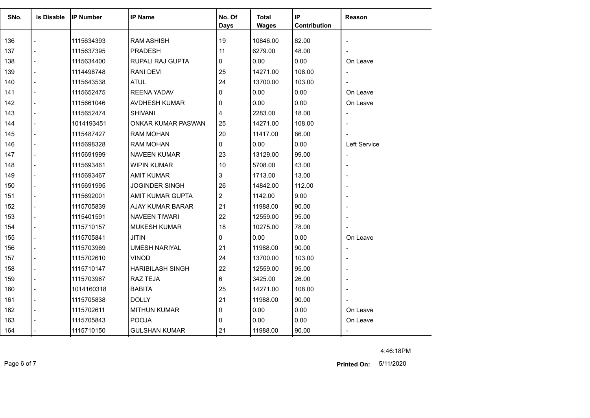| SNo. | <b>Is Disable</b> | <b>IP Number</b> | <b>IP Name</b>          | No. Of         | <b>Total</b> | IP.          | Reason                       |
|------|-------------------|------------------|-------------------------|----------------|--------------|--------------|------------------------------|
|      |                   |                  |                         | <b>Days</b>    | <b>Wages</b> | Contribution |                              |
| 136  |                   | 1115634393       | <b>RAM ASHISH</b>       | 19             | 10846.00     | 82.00        | $\overline{\phantom{a}}$     |
| 137  |                   | 1115637395       | <b>PRADESH</b>          | 11             | 6279.00      | 48.00        | $\blacksquare$               |
| 138  |                   | 1115634400       | RUPALI RAJ GUPTA        | 0              | 0.00         | 0.00         | On Leave                     |
| 139  |                   | 1114498748       | <b>RANI DEVI</b>        | 25             | 14271.00     | 108.00       | $\overline{\phantom{a}}$     |
| 140  |                   | 1115643538       | <b>ATUL</b>             | 24             | 13700.00     | 103.00       |                              |
| 141  |                   | 1115652475       | REENA YADAV             | $\Omega$       | 0.00         | 0.00         | On Leave                     |
| 142  |                   | 1115661046       | AVDHESH KUMAR           | 0              | 0.00         | 0.00         | On Leave                     |
| 143  |                   | 1115652474       | <b>SHIVANI</b>          | 4              | 2283.00      | 18.00        | $\qquad \qquad \blacksquare$ |
| 144  |                   | 1014193451       | ONKAR KUMAR PASWAN      | 25             | 14271.00     | 108.00       |                              |
| 145  |                   | 1115487427       | <b>RAM MOHAN</b>        | 20             | 11417.00     | 86.00        |                              |
| 146  | $\overline{a}$    | 1115698328       | <b>RAM MOHAN</b>        | 0              | 0.00         | 0.00         | Left Service                 |
| 147  |                   | 1115691999       | <b>NAVEEN KUMAR</b>     | 23             | 13129.00     | 99.00        | $\overline{\phantom{a}}$     |
| 148  |                   | 1115693461       | <b>WIPIN KUMAR</b>      | 10             | 5708.00      | 43.00        | $\overline{\phantom{a}}$     |
| 149  |                   | 1115693467       | <b>AMIT KUMAR</b>       | 3              | 1713.00      | 13.00        |                              |
| 150  |                   | 1115691995       | JOGINDER SINGH          | 26             | 14842.00     | 112.00       |                              |
| 151  |                   | 1115692001       | AMIT KUMAR GUPTA        | $\overline{c}$ | 1142.00      | 9.00         |                              |
| 152  |                   | 1115705839       | AJAY KUMAR BARAR        | 21             | 11988.00     | 90.00        |                              |
| 153  |                   | 1115401591       | <b>NAVEEN TIWARI</b>    | 22             | 12559.00     | 95.00        |                              |
| 154  |                   | 1115710157       | <b>MUKESH KUMAR</b>     | 18             | 10275.00     | 78.00        |                              |
| 155  |                   | 1115705841       | <b>JITIN</b>            | 0              | 0.00         | 0.00         | On Leave                     |
| 156  |                   | 1115703969       | <b>UMESH NARIYAL</b>    | 21             | 11988.00     | 90.00        | $\overline{\phantom{a}}$     |
| 157  |                   | 1115702610       | <b>VINOD</b>            | 24             | 13700.00     | 103.00       |                              |
| 158  |                   | 1115710147       | <b>HARIBILASH SINGH</b> | 22             | 12559.00     | 95.00        |                              |
| 159  |                   | 1115703967       | <b>RAZ TEJA</b>         | 6              | 3425.00      | 26.00        |                              |
| 160  |                   | 1014160318       | <b>BABITA</b>           | 25             | 14271.00     | 108.00       |                              |
| 161  | $\overline{a}$    | 1115705838       | <b>DOLLY</b>            | 21             | 11988.00     | 90.00        |                              |
| 162  |                   | 1115702611       | <b>MITHUN KUMAR</b>     | 0              | 0.00         | 0.00         | On Leave                     |
| 163  |                   | 1115705843       | <b>POOJA</b>            | $\mathbf{0}$   | 0.00         | 0.00         | On Leave                     |
| 164  |                   | 1115710150       | <b>GULSHAN KUMAR</b>    | 21             | 11988.00     | 90.00        |                              |